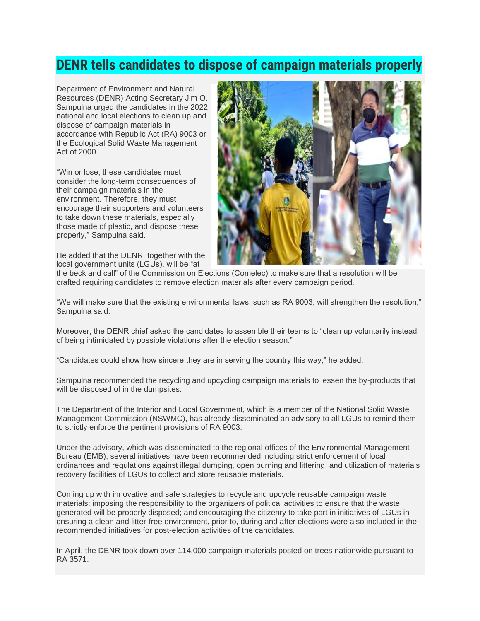## **DENR tells candidates to dispose of campaign materials properly**

Department of Environment and Natural Resources (DENR) Acting Secretary Jim O. Sampulna urged the candidates in the 2022 national and local elections to clean up and dispose of campaign materials in accordance with Republic Act (RA) 9003 or the Ecological Solid Waste Management Act of 2000.

"Win or lose, these candidates must consider the long-term consequences of their campaign materials in the environment. Therefore, they must encourage their supporters and volunteers to take down these materials, especially those made of plastic, and dispose these properly," Sampulna said.

He added that the DENR, together with the local government units (LGUs), will be "at



the beck and call" of the Commission on Elections (Comelec) to make sure that a resolution will be crafted requiring candidates to remove election materials after every campaign period.

"We will make sure that the existing environmental laws, such as RA 9003, will strengthen the resolution," Sampulna said.

Moreover, the DENR chief asked the candidates to assemble their teams to "clean up voluntarily instead of being intimidated by possible violations after the election season."

"Candidates could show how sincere they are in serving the country this way," he added.

Sampulna recommended the recycling and upcycling campaign materials to lessen the by-products that will be disposed of in the dumpsites.

The Department of the Interior and Local Government, which is a member of the National Solid Waste Management Commission (NSWMC), has already disseminated an advisory to all LGUs to remind them to strictly enforce the pertinent provisions of RA 9003.

Under the advisory, which was disseminated to the regional offices of the Environmental Management Bureau (EMB), several initiatives have been recommended including strict enforcement of local ordinances and regulations against illegal dumping, open burning and littering, and utilization of materials recovery facilities of LGUs to collect and store reusable materials.

Coming up with innovative and safe strategies to recycle and upcycle reusable campaign waste materials; imposing the responsibility to the organizers of political activities to ensure that the waste generated will be properly disposed; and encouraging the citizenry to take part in initiatives of LGUs in ensuring a clean and litter-free environment, prior to, during and after elections were also included in the recommended initiatives for post-election activities of the candidates.

In April, the DENR took down over 114,000 campaign materials posted on trees nationwide pursuant to RA 3571.